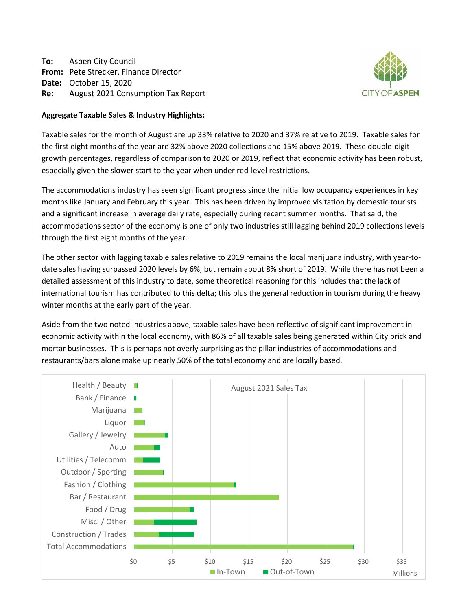**To:** Aspen City Council **From:** Pete Strecker, Finance Director **Date:** October 15, 2020 **Re:** August 2021 Consumption Tax Report



# **Aggregate Taxable Sales & Industry Highlights:**

Taxable sales for the month of August are up 33% relative to 2020 and 37% relative to 2019. Taxable sales for the first eight months of the year are 32% above 2020 collections and 15% above 2019. These double-digit growth percentages, regardless of comparison to 2020 or 2019, reflect that economic activity has been robust, especially given the slower start to the year when under red-level restrictions.

The accommodations industry has seen significant progress since the initial low occupancy experiences in key months like January and February this year. This has been driven by improved visitation by domestic tourists and a significant increase in average daily rate, especially during recent summer months. That said, the accommodations sector of the economy is one of only two industries still lagging behind 2019 collections levels through the first eight months of the year.

The other sector with lagging taxable sales relative to 2019 remains the local marijuana industry, with year-todate sales having surpassed 2020 levels by 6%, but remain about 8% short of 2019. While there has not been a detailed assessment of this industry to date, some theoretical reasoning for this includes that the lack of international tourism has contributed to this delta; this plus the general reduction in tourism during the heavy winter months at the early part of the year.

Aside from the two noted industries above, taxable sales have been reflective of significant improvement in economic activity within the local economy, with 86% of all taxable sales being generated within City brick and mortar businesses. This is perhaps not overly surprising as the pillar industries of accommodations and restaurants/bars alone make up nearly 50% of the total economy and are locally based.

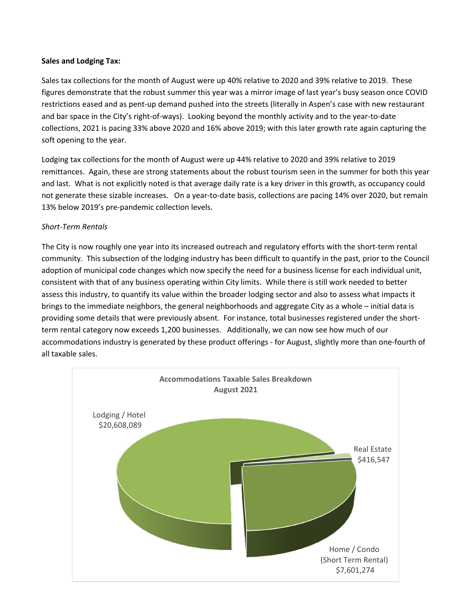# **Sales and Lodging Tax:**

Sales tax collections for the month of August were up 40% relative to 2020 and 39% relative to 2019. These figures demonstrate that the robust summer this year was a mirror image of last year's busy season once COVID restrictions eased and as pent-up demand pushed into the streets (literally in Aspen's case with new restaurant and bar space in the City's right-of-ways). Looking beyond the monthly activity and to the year-to-date collections, 2021 is pacing 33% above 2020 and 16% above 2019; with this later growth rate again capturing the soft opening to the year.

Lodging tax collections for the month of August were up 44% relative to 2020 and 39% relative to 2019 remittances. Again, these are strong statements about the robust tourism seen in the summer for both this year and last. What is not explicitly noted is that average daily rate is a key driver in this growth, as occupancy could not generate these sizable increases. On a year-to-date basis, collections are pacing 14% over 2020, but remain 13% below 2019's pre-pandemic collection levels.

# *Short-Term Rentals*

The City is now roughly one year into its increased outreach and regulatory efforts with the short-term rental community. This subsection of the lodging industry has been difficult to quantify in the past, prior to the Council adoption of municipal code changes which now specify the need for a business license for each individual unit, consistent with that of any business operating within City limits. While there is still work needed to better assess this industry, to quantify its value within the broader lodging sector and also to assess what impacts it brings to the immediate neighbors, the general neighborhoods and aggregate City as a whole – initial data is providing some details that were previously absent. For instance, total businesses registered under the shortterm rental category now exceeds 1,200 businesses. Additionally, we can now see how much of our accommodations industry is generated by these product offerings - for August, slightly more than one-fourth of all taxable sales.

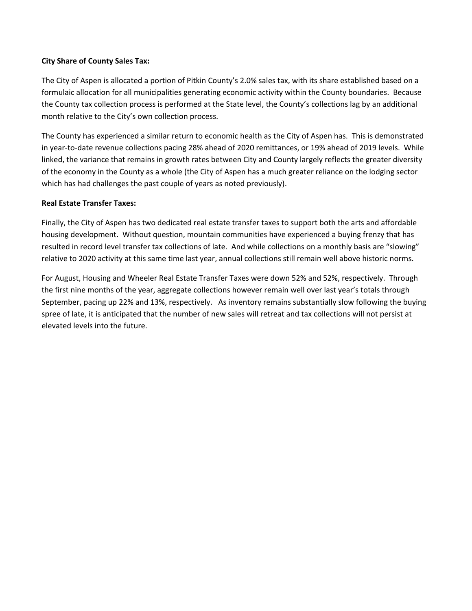# **City Share of County Sales Tax:**

The City of Aspen is allocated a portion of Pitkin County's 2.0% sales tax, with its share established based on a formulaic allocation for all municipalities generating economic activity within the County boundaries. Because the County tax collection process is performed at the State level, the County's collections lag by an additional month relative to the City's own collection process.

The County has experienced a similar return to economic health as the City of Aspen has. This is demonstrated in year-to-date revenue collections pacing 28% ahead of 2020 remittances, or 19% ahead of 2019 levels. While linked, the variance that remains in growth rates between City and County largely reflects the greater diversity of the economy in the County as a whole (the City of Aspen has a much greater reliance on the lodging sector which has had challenges the past couple of years as noted previously).

# **Real Estate Transfer Taxes:**

Finally, the City of Aspen has two dedicated real estate transfer taxes to support both the arts and affordable housing development. Without question, mountain communities have experienced a buying frenzy that has resulted in record level transfer tax collections of late. And while collections on a monthly basis are "slowing" relative to 2020 activity at this same time last year, annual collections still remain well above historic norms.

For August, Housing and Wheeler Real Estate Transfer Taxes were down 52% and 52%, respectively. Through the first nine months of the year, aggregate collections however remain well over last year's totals through September, pacing up 22% and 13%, respectively. As inventory remains substantially slow following the buying spree of late, it is anticipated that the number of new sales will retreat and tax collections will not persist at elevated levels into the future.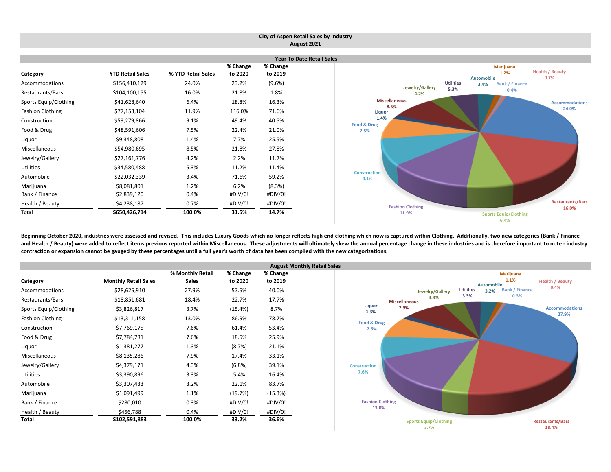|                         |                         |                    |                     |                     | City of Aspen Retail Sales by Industry                                          |
|-------------------------|-------------------------|--------------------|---------------------|---------------------|---------------------------------------------------------------------------------|
|                         |                         |                    |                     |                     | August 2021                                                                     |
|                         |                         |                    |                     |                     | <b>Year To Date Retail Sales</b>                                                |
| Category                | <b>YTD Retail Sales</b> | % YTD Retail Sales | % Change<br>to 2020 | % Change<br>to 2019 | <b>Marijuana</b><br><b>Health / Beauty</b><br>1.2%<br><b>Automobile</b><br>0.7% |
| Accommodations          | \$156,410,129           | 24.0%              | 23.2%               | (9.6%)              | <b>Utilities</b><br><b>Bank / Finance</b><br>3.4%                               |
| Restaurants/Bars        | \$104,100,155           | 16.0%              | 21.8%               | 1.8%                | Jewelry/Gallery<br>5.3%<br>0.4%<br>4.2%                                         |
| Sports Equip/Clothing   | \$41,628,640            | 6.4%               | 18.8%               | 16.3%               | <b>Miscellaneous</b><br><b>Accommodations</b>                                   |
| <b>Fashion Clothing</b> | \$77,153,104            | 11.9%              | 116.0%              | 71.6%               | 8.5%<br>24.0%<br>Liquor                                                         |
| Construction            | \$59,279,866            | 9.1%               | 49.4%               | 40.5%               | 1.4%<br>Food & Drug                                                             |
| Food & Drug             | \$48,591,606            | 7.5%               | 22.4%               | 21.0%               | 7.5%                                                                            |
| Liquor                  | \$9,348,808             | 1.4%               | 7.7%                | 25.5%               |                                                                                 |
| Miscellaneous           | \$54,980,695            | 8.5%               | 21.8%               | 27.8%               |                                                                                 |
| Jewelry/Gallery         | \$27,161,776            | 4.2%               | 2.2%                | 11.7%               |                                                                                 |
| Utilities               | \$34,580,488            | 5.3%               | 11.2%               | 11.4%               |                                                                                 |
| Automobile              | \$22,032,339            | 3.4%               | 71.6%               | 59.2%               | <b>Construction</b><br>9.1%                                                     |
| Marijuana               | \$8,081,801             | 1.2%               | 6.2%                | (8.3%)              |                                                                                 |
| Bank / Finance          | \$2,839,120             | 0.4%               | #DIV/0!             | #DIV/0!             |                                                                                 |
| Health / Beauty         | \$4,238,187             | 0.7%               | #DIV/0!             | #DIV/0!             | <b>Restaurants/Bars</b><br><b>Fashion Clothing</b><br>16.0%                     |
| Total                   | \$650,426,714           | 100.0%             | 31.5%               | 14.7%               | 11.9%<br><b>Sports Equip/Clothing</b><br>6.4%                                   |

Beginning October 2020, industries were assessed and revised. This includes Luxury Goods which no longer reflects high end clothing which now is captured within Clothing. Additionally, two new categories (Bank / Finance and Health / Beauty) were added to reflect items previous reported within Miscellaneous. These adjustments will ultimately skew the annual percentage change in these industries and is therefore important to note - industry contraction or expansion cannot be gauged by these percentages until a full year's worth of data has been compiled with the new categorizations.

|                         |                             |                  |          | <b>August Monthl</b> |  |
|-------------------------|-----------------------------|------------------|----------|----------------------|--|
|                         |                             | % Monthly Retail | % Change | % Change             |  |
| Category                | <b>Monthly Retail Sales</b> | <b>Sales</b>     | to 2020  | to 2019              |  |
| Accommodations          | \$28,625,910                | 27.9%            | 57.5%    | 40.0%                |  |
| Restaurants/Bars        | \$18,851,681                | 18.4%            | 22.7%    | 17.7%                |  |
| Sports Equip/Clothing   | \$3,826,817                 | 3.7%             | (15.4%)  | 8.7%                 |  |
| <b>Fashion Clothing</b> | \$13,311,158                | 13.0%            | 86.9%    | 78.7%                |  |
| Construction            | \$7,769,175                 | 7.6%             | 61.4%    | 53.4%                |  |
| Food & Drug             | \$7,784,781                 | 7.6%             | 18.5%    | 25.9%                |  |
| Liquor                  | \$1,381,277                 | 1.3%             | (8.7%)   | 21.1%                |  |
| Miscellaneous           | \$8,135,286                 | 7.9%             | 17.4%    | 33.1%                |  |
| Jewelry/Gallery         | \$4,379,171                 | 4.3%             | (6.8%)   | 39.1%                |  |
| <b>Utilities</b>        | \$3,390,896                 | 3.3%             | 5.4%     | 16.4%                |  |
| Automobile              | \$3,307,433                 | 3.2%             | 22.1%    | 83.7%                |  |
| Marijuana               | \$1,091,499                 | 1.1%             | (19.7%)  | (15.3%)              |  |
| Bank / Finance          | \$280,010                   | 0.3%             | #DIV/0!  | #DIV/0!              |  |
| Health / Beauty         | \$456,788                   | 0.4%             | #DIV/0!  | #DIV/0!              |  |
| Total                   | \$102,591,883               | 100.0%           | 33.2%    | 36.6%                |  |

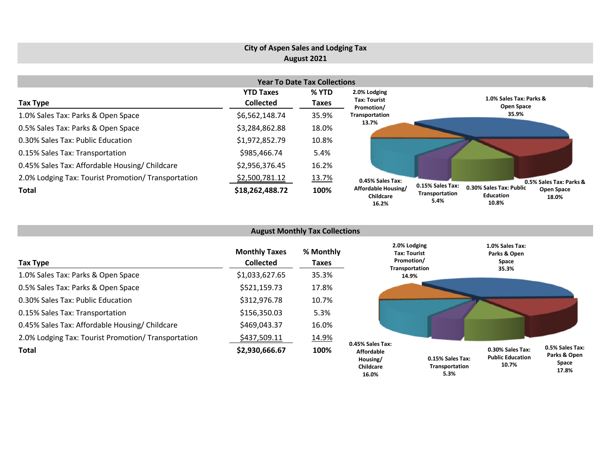# **City of Aspen Sales and Lodging Tax August 2021**

| <b>Year To Date Tax Collections</b>                 |                  |       |                                           |                                                                                                                           |  |  |  |  |  |  |  |
|-----------------------------------------------------|------------------|-------|-------------------------------------------|---------------------------------------------------------------------------------------------------------------------------|--|--|--|--|--|--|--|
|                                                     | <b>YTD Taxes</b> | % YTD | 2.0% Lodging                              |                                                                                                                           |  |  |  |  |  |  |  |
| Tax Type                                            | <b>Collected</b> | Taxes | Tax: Tourist<br>Promotion/                | 1.0% Sales Tax: Parks &<br>Open Space                                                                                     |  |  |  |  |  |  |  |
| 1.0% Sales Tax: Parks & Open Space                  | \$6,562,148.74   | 35.9% | Transportation                            | 35.9%                                                                                                                     |  |  |  |  |  |  |  |
| 0.5% Sales Tax: Parks & Open Space                  | \$3,284,862.88   | 18.0% | 13.7%                                     |                                                                                                                           |  |  |  |  |  |  |  |
| 0.30% Sales Tax: Public Education                   | \$1,972,852.79   | 10.8% |                                           |                                                                                                                           |  |  |  |  |  |  |  |
| 0.15% Sales Tax: Transportation                     | \$985,466.74     | 5.4%  |                                           |                                                                                                                           |  |  |  |  |  |  |  |
| 0.45% Sales Tax: Affordable Housing/ Childcare      | \$2,956,376.45   | 16.2% |                                           |                                                                                                                           |  |  |  |  |  |  |  |
| 2.0% Lodging Tax: Tourist Promotion/ Transportation | \$2,500,781.12   | 13.7% | 0.45% Sales Tax:                          | 0.5% Sales Tax: Parks &                                                                                                   |  |  |  |  |  |  |  |
| Total                                               | \$18,262,488.72  | 100%  | Affordable Housing/<br>Childcare<br>16.2% | 0.15% Sales Tax:<br>0.30% Sales Tax: Public<br>Open Space<br>Transportation<br><b>Education</b><br>18.0%<br>5.4%<br>10.8% |  |  |  |  |  |  |  |

|                                                     |                                          | <b>August Monthly Tax Collections</b> |                                                                |                                                                     |                                                      |                                                    |
|-----------------------------------------------------|------------------------------------------|---------------------------------------|----------------------------------------------------------------|---------------------------------------------------------------------|------------------------------------------------------|----------------------------------------------------|
| Tax Type                                            | <b>Monthly Taxes</b><br><b>Collected</b> | % Monthly<br>Taxes                    |                                                                | 2.0% Lodging<br><b>Tax: Tourist</b><br>Promotion/<br>Transportation | 1.0% Sales Tax:<br>Parks & Open<br>Space             |                                                    |
| 1.0% Sales Tax: Parks & Open Space                  | \$1,033,627.65                           | 35.3%                                 |                                                                | 14.9%                                                               | 35.3%                                                |                                                    |
| 0.5% Sales Tax: Parks & Open Space                  | \$521,159.73                             | 17.8%                                 |                                                                |                                                                     |                                                      |                                                    |
| 0.30% Sales Tax: Public Education                   | \$312,976.78                             | 10.7%                                 |                                                                |                                                                     |                                                      |                                                    |
| 0.15% Sales Tax: Transportation                     | \$156,350.03                             | 5.3%                                  |                                                                |                                                                     |                                                      |                                                    |
| 0.45% Sales Tax: Affordable Housing/ Childcare      | \$469,043.37                             | 16.0%                                 |                                                                |                                                                     |                                                      |                                                    |
| 2.0% Lodging Tax: Tourist Promotion/ Transportation | \$437,509.11                             | 14.9%                                 |                                                                |                                                                     |                                                      |                                                    |
| <b>Total</b>                                        | \$2,930,666.67                           | 100%                                  | 0.45% Sales Tax:<br><b>Affordable</b><br>Housing/<br>Childcare | 0.15% Sales Tax:<br>Transportation                                  | 0.30% Sales Tax:<br><b>Public Education</b><br>10.7% | 0.5% Sales Tax:<br>Parks & Open<br>Space<br>17.001 |

**17.8%**

**5.3%**

**16.0%**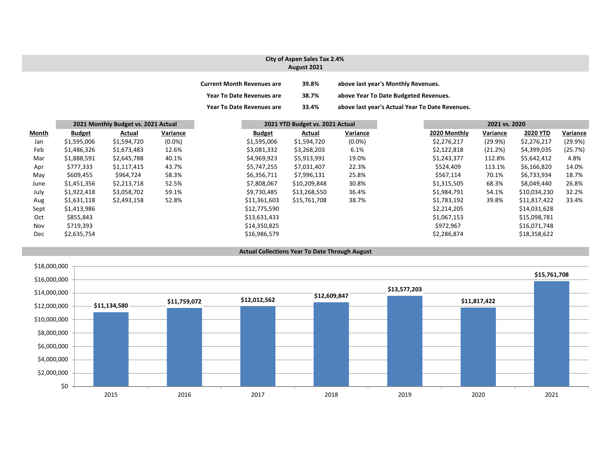#### **City of Aspen Sales Tax 2.4% August 2021**

| <b>Current Month Revenues are</b> | 39.8% | above last year's Monthly Revenues.             |
|-----------------------------------|-------|-------------------------------------------------|
| <b>Year To Date Revenues are</b>  | 38.7% | above Year To Date Budgeted Revenues.           |
| <b>Year To Date Revenues are</b>  | 33.4% | above last year's Actual Year To Date Revenues. |

|              | 2021 Monthly Budget vs. 2021 Actual | 2021 YTD Budget vs. 2021 Actual |           |               |              | 2021 vs. 2020 |  |              |          |                 |          |
|--------------|-------------------------------------|---------------------------------|-----------|---------------|--------------|---------------|--|--------------|----------|-----------------|----------|
| <b>Month</b> | <b>Budget</b>                       | Actual                          | Variance  | <b>Budget</b> | Actual       | Variance      |  | 2020 Monthly | Variance | <b>2020 YTD</b> | Variance |
| Jan          | \$1,595,006                         | \$1,594,720                     | $(0.0\%)$ | \$1,595,006   | \$1,594,720  | $(0.0\%)$     |  | \$2,276,217  | (29.9%)  | \$2,276,217     | (29.9%)  |
| Feb          | \$1,486,326                         | \$1,673,483                     | 12.6%     | \$3,081,332   | \$3,268,203  | 6.1%          |  | \$2,122,818  | (21.2%)  | \$4,399,035     | (25.7%)  |
| Mar          | \$1,888,591                         | \$2,645,788                     | 40.1%     | \$4,969,923   | \$5,913,991  | 19.0%         |  | \$1,243,377  | 112.8%   | \$5,642,412     | 4.8%     |
| Apr          | \$777,333                           | \$1,117,415                     | 43.7%     | \$5,747,255   | \$7,031,407  | 22.3%         |  | \$524,409    | 113.1%   | \$6,166,820     | 14.0%    |
| May          | \$609,455                           | \$964,724                       | 58.3%     | \$6,356,711   | \$7,996,131  | 25.8%         |  | \$567,114    | 70.1%    | \$6,733,934     | 18.7%    |
| June         | \$1,451,356                         | \$2,213,718                     | 52.5%     | \$7,808,067   | \$10,209,848 | 30.8%         |  | \$1,315,505  | 68.3%    | \$8,049,440     | 26.8%    |
| July         | \$1,922,418                         | \$3,058,702                     | 59.1%     | \$9,730,485   | \$13,268,550 | 36.4%         |  | \$1,984,791  | 54.1%    | \$10,034,230    | 32.2%    |
| Aug          | \$1,631,118                         | \$2,493,158                     | 52.8%     | \$11,361,603  | \$15,761,708 | 38.7%         |  | \$1,783,192  | 39.8%    | \$11,817,422    | 33.4%    |
| Sept         | \$1,413,986                         |                                 |           | \$12,775,590  |              |               |  | \$2,214,205  |          | \$14,031,628    |          |
| Oct          | \$855,843                           |                                 |           | \$13,631,433  |              |               |  | \$1,067,153  |          | \$15,098,781    |          |
| Nov          | \$719,393                           |                                 |           | \$14,350,825  |              |               |  | \$972,967    |          | \$16,071,748    |          |
| Dec          | \$2,635,754                         |                                 |           | \$16,986,579  |              |               |  | \$2,286,874  |          | \$18,358,622    |          |

#### **Actual Collections Year To Date Through August**

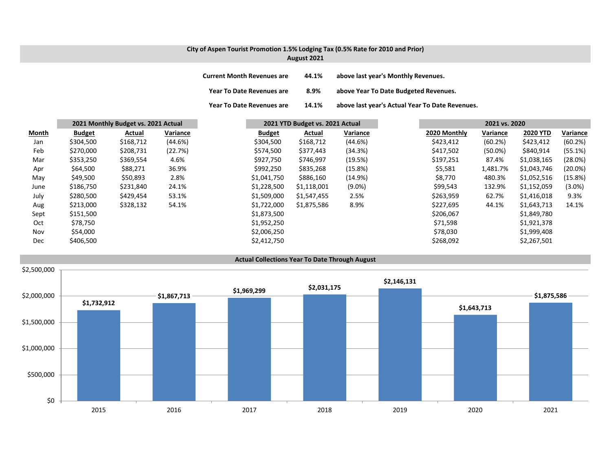### **City of Aspen Tourist Promotion 1.5% Lodging Tax (0.5% Rate for 2010 and Prior) August 2021**

| <b>Current Month Revenues are</b> | 44.1% | above last year's Monthly Revenues.             |
|-----------------------------------|-------|-------------------------------------------------|
| <b>Year To Date Revenues are</b>  | 8.9%  | above Year To Date Budgeted Revenues.           |
| <b>Year To Date Revenues are</b>  | 14.1% | above last year's Actual Year To Date Revenues. |

|              |               | 2021 Monthly Budget vs. 2021 Actual |          |               | 2021 YTD Budget vs. 2021 Actual |           | 2021 vs. 2020 |              |            |                 |            |
|--------------|---------------|-------------------------------------|----------|---------------|---------------------------------|-----------|---------------|--------------|------------|-----------------|------------|
| <b>Month</b> | <b>Budget</b> | Actual                              | Variance | <b>Budget</b> | Actual                          | Variance  |               | 2020 Monthly | Variance   | <b>2020 YTD</b> | Variance   |
| Jan          | \$304,500     | \$168,712                           | (44.6%)  | \$304,500     | \$168,712                       | (44.6%)   |               | \$423,412    | (60.2%)    | \$423,412       | (60.2%)    |
| Feb          | \$270,000     | \$208,731                           | (22.7%)  | \$574,500     | \$377,443                       | (34.3%)   |               | \$417,502    | $(50.0\%)$ | \$840,914       | (55.1%)    |
| Mar          | \$353,250     | \$369,554                           | 4.6%     | \$927,750     | \$746,997                       | (19.5%)   |               | \$197,251    | 87.4%      | \$1,038,165     | $(28.0\%)$ |
| Apr          | \$64,500      | \$88,271                            | 36.9%    | \$992,250     | \$835,268                       | (15.8%)   |               | \$5,581      | 1,481.7%   | \$1,043,746     | $(20.0\%)$ |
| May          | \$49,500      | \$50,893                            | 2.8%     | \$1,041,750   | \$886,160                       | (14.9%)   |               | \$8,770      | 480.3%     | \$1,052,516     | (15.8%)    |
| June         | \$186,750     | \$231,840                           | 24.1%    | \$1,228,500   | \$1,118,001                     | $(9.0\%)$ |               | \$99,543     | 132.9%     | \$1,152,059     | $(3.0\%)$  |
| July         | \$280,500     | \$429,454                           | 53.1%    | \$1,509,000   | \$1,547,455                     | 2.5%      |               | \$263,959    | 62.7%      | \$1,416,018     | 9.3%       |
| Aug          | \$213,000     | \$328,132                           | 54.1%    | \$1,722,000   | \$1,875,586                     | 8.9%      |               | \$227,695    | 44.1%      | \$1,643,713     | 14.1%      |
| Sept         | \$151,500     |                                     |          | \$1,873,500   |                                 |           |               | \$206,067    |            | \$1,849,780     |            |
| Oct          | \$78,750      |                                     |          | \$1,952,250   |                                 |           |               | \$71,598     |            | \$1,921,378     |            |
| Nov          | \$54,000      |                                     |          | \$2,006,250   |                                 |           |               | \$78,030     |            | \$1,999,408     |            |
| Dec          | \$406,500     |                                     |          | \$2,412,750   |                                 |           |               | \$268,092    |            | \$2,267,501     |            |

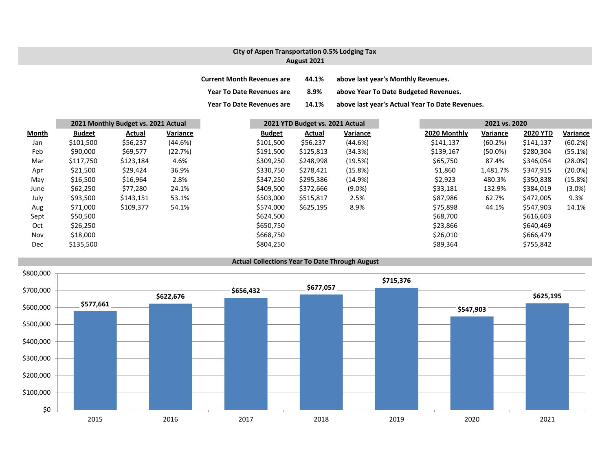## **City of Aspen Transportation 0.5% Lodging Tax August 2021**

| <b>Current Month Revenues are</b> | 44.1% | above last year's Monthly Revenues.             |
|-----------------------------------|-------|-------------------------------------------------|
| <b>Year To Date Revenues are</b>  | 8.9%  | above Year To Date Budgeted Revenues.           |
| <b>Year To Date Revenues are</b>  | 14.1% | above last year's Actual Year To Date Revenues. |

|              |               | 2021 Monthly Budget vs. 2021 Actual |          |               | 2021 YTD Budget vs. 2021 Actual |           | 2021 vs. 2020 |              |            |                 |            |
|--------------|---------------|-------------------------------------|----------|---------------|---------------------------------|-----------|---------------|--------------|------------|-----------------|------------|
| <b>Month</b> | <b>Budget</b> | Actual                              | Variance | <b>Budget</b> | Actual                          | Variance  |               | 2020 Monthly | Variance   | <b>2020 YTD</b> | Variance   |
| Jan          | \$101,500     | \$56,237                            | (44.6%)  | \$101,500     | \$56,237                        | (44.6%)   |               | \$141,137    | (60.2%)    | \$141,137       | (60.2%)    |
| Feb          | \$90,000      | \$69,577                            | (22.7%)  | \$191,500     | \$125,813                       | (34.3%)   |               | \$139,167    | $(50.0\%)$ | \$280,304       | (55.1%)    |
| Mar          | \$117,750     | \$123,184                           | 4.6%     | \$309,250     | \$248,998                       | (19.5%)   |               | \$65,750     | 87.4%      | \$346,054       | (28.0%)    |
| Apr          | \$21,500      | \$29,424                            | 36.9%    | \$330,750     | \$278,421                       | (15.8%)   |               | \$1,860      | 1,481.7%   | \$347,915       | $(20.0\%)$ |
| May          | \$16,500      | \$16,964                            | 2.8%     | \$347,250     | \$295,386                       | (14.9%)   |               | \$2,923      | 480.3%     | \$350,838       | (15.8%)    |
| June         | \$62,250      | \$77,280                            | 24.1%    | \$409,500     | \$372,666                       | $(9.0\%)$ |               | \$33,181     | 132.9%     | \$384,019       | $(3.0\%)$  |
| July         | \$93,500      | \$143,151                           | 53.1%    | \$503,000     | \$515,817                       | 2.5%      |               | \$87,986     | 62.7%      | \$472,005       | 9.3%       |
| Aug          | \$71,000      | \$109,377                           | 54.1%    | \$574,000     | \$625,195                       | 8.9%      |               | \$75,898     | 44.1%      | \$547,903       | 14.1%      |
| Sept         | \$50,500      |                                     |          | \$624,500     |                                 |           |               | \$68,700     |            | \$616,603       |            |
| Oct          | \$26,250      |                                     |          | \$650,750     |                                 |           |               | \$23,866     |            | \$640,469       |            |
| Nov          | \$18,000      |                                     |          | \$668,750     |                                 |           |               | \$26,010     |            | \$666,479       |            |
| Dec          | \$135,500     |                                     |          | \$804,250     |                                 |           |               | \$89,364     |            | \$755,842       |            |

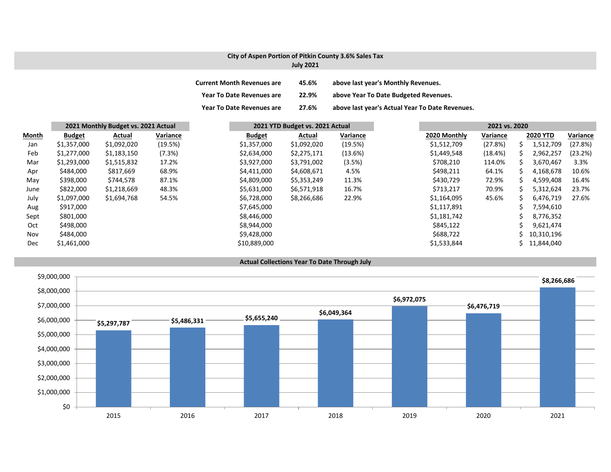## **City of Aspen Portion of Pitkin County 3.6% Sales Tax**

### **July 2021**

| <b>Current Month Revenues are</b> | 45.6% | above last year's Monthly Revenues.             |
|-----------------------------------|-------|-------------------------------------------------|
| <b>Year To Date Revenues are</b>  | 22.9% | above Year To Date Budgeted Revenues.           |
| <b>Year To Date Revenues are</b>  | 27.6% | above last year's Actual Year To Date Revenues. |

|       | 2021 Monthly Budget vs. 2021 Actual |             | 2021 YTD Budget vs. 2021 Actual |               |             | 2021 vs. 2020 |              |          |    |                 |          |
|-------|-------------------------------------|-------------|---------------------------------|---------------|-------------|---------------|--------------|----------|----|-----------------|----------|
| Month | <b>Budget</b>                       | Actual      | Variance                        | <b>Budget</b> | Actual      | Variance      | 2020 Monthly | Variance |    | <b>2020 YTD</b> | Variance |
| Jan   | \$1,357,000                         | \$1,092,020 | (19.5%)                         | \$1,357,000   | \$1,092,020 | (19.5%)       | \$1,512,709  | (27.8%)  | S. | 1,512,709       | (27.8%)  |
| Feb   | \$1,277,000                         | \$1,183,150 | (7.3%)                          | \$2,634,000   | \$2,275,171 | (13.6%)       | \$1,449,548  | (18.4%)  | S  | 2,962,257       | (23.2%)  |
| Mar   | \$1,293,000                         | \$1,515,832 | 17.2%                           | \$3,927,000   | \$3,791,002 | (3.5%)        | \$708,210    | 114.0%   | S  | 3,670,467       | 3.3%     |
| Apr   | \$484,000                           | \$817,669   | 68.9%                           | \$4,411,000   | \$4,608,671 | 4.5%          | \$498,211    | 64.1%    |    | 4,168,678       | 10.6%    |
| May   | \$398,000                           | \$744,578   | 87.1%                           | \$4,809,000   | \$5,353,249 | 11.3%         | \$430,729    | 72.9%    | S. | 4,599,408       | 16.4%    |
| June  | \$822,000                           | \$1,218,669 | 48.3%                           | \$5,631,000   | \$6,571,918 | 16.7%         | \$713,217    | 70.9%    |    | 5,312,624       | 23.7%    |
| July  | \$1,097,000                         | \$1,694,768 | 54.5%                           | \$6,728,000   | \$8,266,686 | 22.9%         | \$1,164,095  | 45.6%    | S  | 6,476,719       | 27.6%    |
| Aug   | \$917,000                           |             |                                 | \$7,645,000   |             |               | \$1,117,891  |          |    | 7,594,610       |          |
| Sept  | \$801,000                           |             |                                 | \$8,446,000   |             |               | \$1,181,742  |          |    | 8,776,352       |          |
| Oct   | \$498,000                           |             |                                 | \$8,944,000   |             |               | \$845,122    |          |    | 9,621,474       |          |
| Nov   | \$484,000                           |             |                                 | \$9,428,000   |             |               | \$688,722    |          |    | 10,310,196      |          |
| Dec   | \$1,461,000                         |             |                                 | \$10,889,000  |             |               | \$1,533,844  |          |    | 11,844,040      |          |

#### **Actual Collections Year To Date Through July**

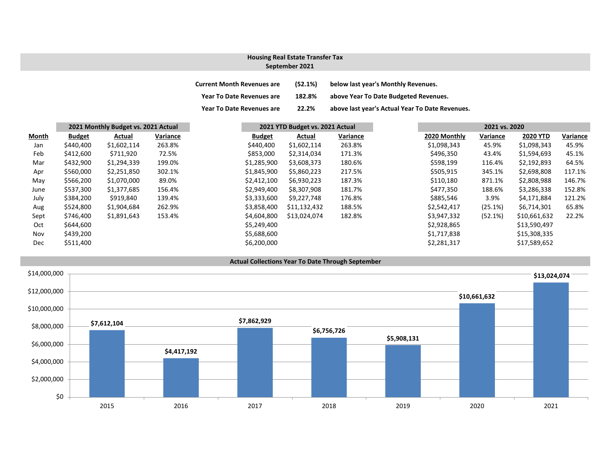# **Housing Real Estate Transfer Tax**

### **September 2021**

| <b>Current Month Revenues are</b> | (52.1%) | below last year's Monthly Revenues.             |
|-----------------------------------|---------|-------------------------------------------------|
| Year To Date Revenues are         | 182.8%  | above Year To Date Budgeted Revenues.           |
| <b>Year To Date Revenues are</b>  | 22.2%   | above last year's Actual Year To Date Revenues. |

| Month      | 2021 Monthly Budget vs. 2021 Actual |             |          |               | 2021 YTD Budget vs. 2021 Actual |          |  | 2021 vs. 2020 |          |                 |  |
|------------|-------------------------------------|-------------|----------|---------------|---------------------------------|----------|--|---------------|----------|-----------------|--|
|            | <b>Budget</b>                       | Actual      | Variance | <b>Budget</b> | Actual                          | Variance |  | 2020 Monthly  | Variance | <b>2020 YTD</b> |  |
| Jan        | \$440,400                           | \$1,602,114 | 263.8%   | \$440,400     | \$1,602,114                     | 263.8%   |  | \$1,098,343   | 45.9%    | \$1,098,343     |  |
| Feb        | \$412,600                           | \$711,920   | 72.5%    | \$853,000     | \$2,314,034                     | 171.3%   |  | \$496,350     | 43.4%    | \$1,594,693     |  |
| Mar        | \$432,900                           | \$1,294,339 | 199.0%   | \$1,285,900   | \$3,608,373                     | 180.6%   |  | \$598,199     | 116.4%   | \$2,192,893     |  |
| Apr        | \$560,000                           | \$2,251,850 | 302.1%   | \$1,845,900   | \$5,860,223                     | 217.5%   |  | \$505,915     | 345.1%   | \$2,698,808     |  |
| May        | \$566,200                           | \$1,070,000 | 89.0%    | \$2,412,100   | \$6,930,223                     | 187.3%   |  | \$110,180     | 871.1%   | \$2,808,988     |  |
| June       | \$537,300                           | \$1,377,685 | 156.4%   | \$2,949,400   | \$8,307,908                     | 181.7%   |  | \$477,350     | 188.6%   | \$3,286,338     |  |
| July       | \$384,200                           | \$919,840   | 139.4%   | \$3,333,600   | \$9,227,748                     | 176.8%   |  | \$885,546     | 3.9%     | \$4,171,884     |  |
| Aug        | \$524,800                           | \$1,904,684 | 262.9%   | \$3,858,400   | \$11,132,432                    | 188.5%   |  | \$2,542,417   | (25.1%)  | \$6,714,301     |  |
| Sept       | \$746,400                           | \$1,891,643 | 153.4%   | \$4,604,800   | \$13,024,074                    | 182.8%   |  | \$3,947,332   | (52.1%)  | \$10,661,632    |  |
| Oct        | \$644,600                           |             |          | \$5,249,400   |                                 |          |  | \$2,928,865   |          | \$13,590,497    |  |
| Nov        | \$439,200                           |             |          | \$5,688,600   |                                 |          |  | \$1,717,838   |          | \$15,308,335    |  |
| <b>Dec</b> | \$511,400                           |             |          | \$6,200,000   |                                 |          |  | \$2,281,317   |          | \$17,589,652    |  |